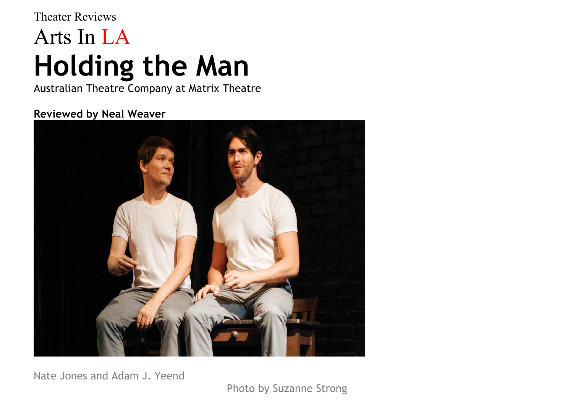## Theater Reviews Arts In LA **Holding the Man**

Australian Theatre Company at Matrix Theatre

## **Reviewed by Neal Weaver**



Nate Jones and Adam J. Yeend

Photo by Suzanne Strong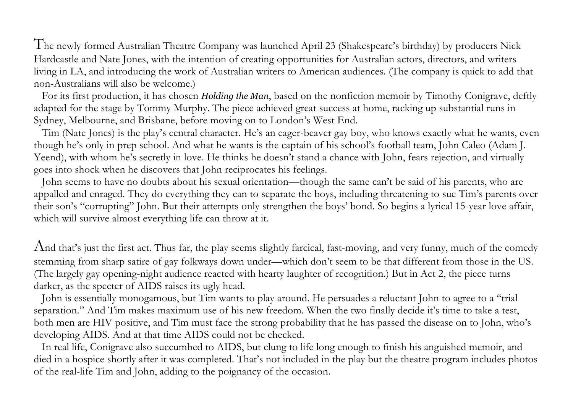The newly formed Australian Theatre Company was launched April 23 (Shakespeare's birthday) by producers Nick Hardcastle and Nate Jones, with the intention of creating opportunities for Australian actors, directors, and writers living in LA, and introducing the work of Australian writers to American audiences. (The company is quick to add that non-Australians will also be welcome.)

For its first production, it has chosen *Holding the Man*, based on the nonfiction memoir by Timothy Conigrave, deftly adapted for the stage by Tommy Murphy. The piece achieved great success at home, racking up substantial runs in Sydney, Melbourne, and Brisbane, before moving on to London's West End.

Tim (Nate Jones) is the play's central character. He's an eager-beaver gay boy, who knows exactly what he wants, even though he's only in prep school. And what he wants is the captain of his school's football team, John Caleo (Adam J. Yeend), with whom he's secretly in love. He thinks he doesn't stand a chance with John, fears rejection, and virtually goes into shock when he discovers that John reciprocates his feelings.

John seems to have no doubts about his sexual orientation—though the same can't be said of his parents, who are appalled and enraged. They do everything they can to separate the boys, including threatening to sue Tim's parents over their son's "corrupting" John. But their attempts only strengthen the boys' bond. So begins a lyrical 15-year love affair, which will survive almost everything life can throw at it.

And that's just the first act. Thus far, the play seems slightly farcical, fast-moving, and very funny, much of the comedy stemming from sharp satire of gay folkways down under—which don't seem to be that different from those in the US. (The largely gay opening-night audience reacted with hearty laughter of recognition.) But in Act 2, the piece turns darker, as the specter of AIDS raises its ugly head.

John is essentially monogamous, but Tim wants to play around. He persuades a reluctant John to agree to a "trial separation." And Tim makes maximum use of his new freedom. When the two finally decide it's time to take a test, both men are HIV positive, and Tim must face the strong probability that he has passed the disease on to John, who's developing AIDS. And at that time AIDS could not be checked.

In real life, Conigrave also succumbed to AIDS, but clung to life long enough to finish his anguished memoir, and died in a hospice shortly after it was completed. That's not included in the play but the theatre program includes photos of the real-life Tim and John, adding to the poignancy of the occasion.